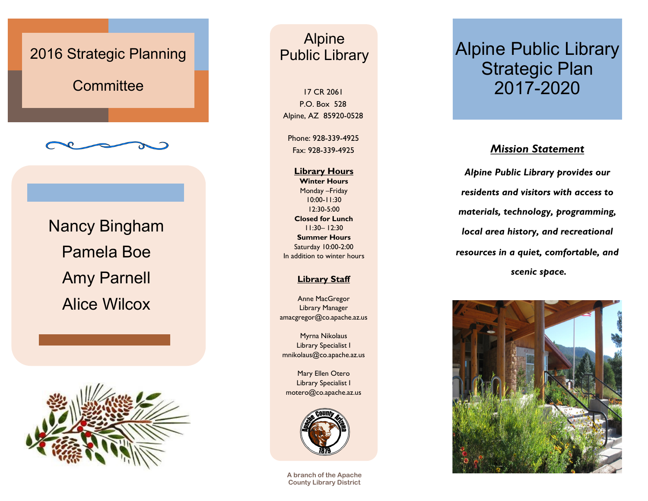# 2016 Strategic Planning **Committee** Nancy Bingham Pamela Boe Amy Parnell Alice Wilcox



### Alpine Public Library

17 CR 2061 P.O. Box 528 Alpine, AZ 85920-0528

Phone: 928-339-4925 Fax: 928-339-4925

**Library Hours Winter Hours** Monday –Friday 10:00-11:30 12:30-5:00 **Closed for Lunch**  11:30– 12:30 **Summer Hours** Saturday 10:00-2:00 In addition to winter hours

#### **Library Staff**

Anne MacGregor Library Manager amacgregor@co.apache.az.us

Myrna Nikolaus Library Specialist I mnikolaus@co.apache.az.us

Mary Ellen Otero Library Specialist I motero@co.apache.az.us



**A branch of the Apache County Library District**

## Alpine Public Library Strategic Plan 2017-2020

#### *Mission Statement*

*Alpine Public Library provides our residents and visitors with access to materials, technology, programming, local area history, and recreational resources in a quiet, comfortable, and scenic space.*